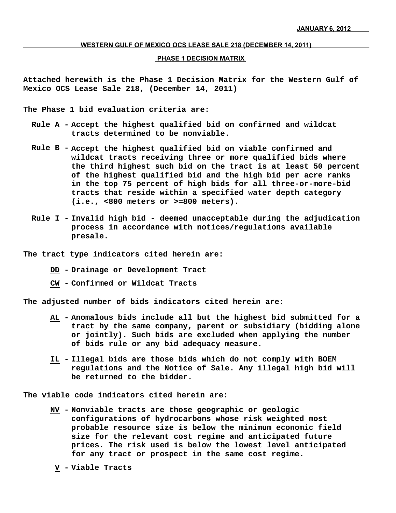#### **WESTERN GULF OF MEXICO OCS LEASE SALE 218 (DECEMBER 14, 2011)**

### **PHASE 1 DECISION MATRIX**

**Attached herewith is the Phase 1 Decision Matrix for the Western Gulf of Mexico OCS Lease Sale 218, (December 14, 2011)**

**The Phase 1 bid evaluation criteria are:**

- **Rule A - Accept the highest qualified bid on confirmed and wildcat tracts determined to be nonviable.**
- **Rule B - Accept the highest qualified bid on viable confirmed and wildcat tracts receiving three or more qualified bids where the third highest such bid on the tract is at least 50 percent of the highest qualified bid and the high bid per acre ranks in the top 75 percent of high bids for all three-or-more-bid tracts that reside within a specified water depth category (i.e., <800 meters or >=800 meters).**
- **Rule I - Invalid high bid deemed unacceptable during the adjudication process in accordance with notices/regulations available presale.**
- **The tract type indicators cited herein are:**
	- **DD - Drainage or Development Tract**
	- **CW - Confirmed or Wildcat Tracts**

**The adjusted number of bids indicators cited herein are:**

- **Anomalous bids include all but the highest bid submitted for a AL tract by the same company, parent or subsidiary (bidding alone or jointly). Such bids are excluded when applying the number of bids rule or any bid adequacy measure.**
- **Illegal bids are those bids which do not comply with BOEM IL regulations and the Notice of Sale. Any illegal high bid will be returned to the bidder.**

**The viable code indicators cited herein are:**

- **NV - Nonviable tracts are those geographic or geologic configurations of hydrocarbons whose risk weighted most probable resource size is below the minimum economic field size for the relevant cost regime and anticipated future prices. The risk used is below the lowest level anticipated for any tract or prospect in the same cost regime.**
	- **V - Viable Tracts**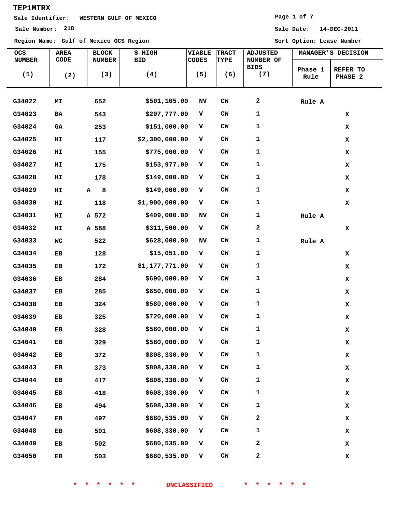# **Sale Identifier: WESTERN GULF OF MEXICO**

**Region Name: Gulf of Mexico OCS Region Sort Option: Lease Number**

### **Page 1 of 7**

| <b>OCS</b><br><b>NUMBER</b> | <b>AREA</b><br>CODE | <b>BLOCK</b><br><b>NUMBER</b> | \$ HIGH<br><b>BID</b> | <b>VIABLE</b><br><b>CODES</b> | <b>TRACT</b><br><b>TYPE</b> | <b>ADJUSTED</b><br>NUMBER OF |                 | MANAGER'S DECISION  |
|-----------------------------|---------------------|-------------------------------|-----------------------|-------------------------------|-----------------------------|------------------------------|-----------------|---------------------|
| (1)                         | (2)                 | (3)                           | (4)                   | (5)                           | (6)                         | <b>BIDS</b><br>(7)           | Phase 1<br>Rule | REFER TO<br>PHASE 2 |
| G34022                      | MI                  | 652                           | \$501,105.00          | NV                            | CW                          | 2                            | Rule A          |                     |
| G34023                      | BA                  | 543                           | \$207,777.00          | v                             | CW                          | 1                            |                 | x                   |
| G34024                      | GA                  | 253                           | \$151,000.00          | v                             | <b>CW</b>                   | 1                            |                 | x                   |
| G34025                      | HI                  | 117                           | \$2,300,000.00        | v                             | <b>CW</b>                   | 1                            |                 | x                   |
| G34026                      | HI                  | 155                           | \$775,000.00          | v                             | CW                          | 1                            |                 | x                   |
| G34027                      | HI                  | 175                           | \$153,977.00          | v                             | <b>CW</b>                   | 1                            |                 | x                   |
| G34028                      | HI                  | 178                           | \$149,000.00          | v                             | CW                          | 1                            |                 | x                   |
| G34029                      | HI                  | 8<br>A                        | \$149,000.00          | v                             | <b>CW</b>                   | 1                            |                 | x                   |
| G34030                      | HI                  | 118                           | \$1,900,000.00        | v                             | CW                          | 1                            |                 | x                   |
| G34031                      | H1                  | A 572                         | \$409,000.00          | NV                            | CW                          | 1                            | Rule A          |                     |
| G34032                      | HI                  | A 588                         | \$311,500.00          | v                             | CW                          | 2                            |                 | x                   |
| G34033                      | WC                  | 522                           | \$628,000.00          | NV                            | CW                          | 1                            | Rule A          |                     |
| G34034                      | EВ                  | 128                           | \$15,051.00           | v                             | CW                          | 1                            |                 | x                   |
| G34035                      | EB                  | 172                           | \$1,177,771.00        | v                             | CW                          | 1                            |                 | x                   |
| G34036                      | EB                  | 284                           | \$690,000.00          | v                             | $CM$                        | 1                            |                 | x                   |
| G34037                      | EB                  | 285                           | \$650,000.00          | v                             | CW                          | 1                            |                 | x                   |
| G34038                      | EB                  | 324                           | \$580,000.00          | v                             | <b>CW</b>                   | 1                            |                 | x                   |
| G34039                      | EB                  | 325                           | \$720,000.00          | v                             | $CM$                        | 1                            |                 | x                   |
| G34040                      | EB                  | 328                           | \$580,000.00          | v                             | $CM$                        | 1                            |                 | x                   |
| G34041                      | EB                  | 329                           | \$580,000.00          | v                             | $CM$                        | 1                            |                 | $\mathbf x$         |
| G34042                      | EB                  | 372                           | \$808,330.00          | v                             | CW                          | 1                            |                 | $\mathbf x$         |
| G34043                      | EB                  | 373                           | \$808,330.00          | v                             | ${\sf CW}$                  | 1                            |                 | $\mathbf x$         |
| G34044                      | EB                  | 417                           | \$808,330.00          | v                             | ${\sf CW}$                  | 1                            |                 | $\mathbf x$         |
| G34045                      | EB                  | 418                           | \$608,330.00          | v                             | ${\sf CW}$                  | 1                            |                 | x                   |
| G34046                      | EB                  | 494                           | \$608,330.00          | v                             | ${\sf CW}$                  | 1                            |                 | $\mathbf x$         |
| G34047                      | ${\bf EB}$          | 497                           | \$680,535.00          | v                             | CW                          | 2                            |                 | $\mathbf x$         |
| G34048                      | EB                  | 501                           | \$608,330.00          | $\mathbf{V}$                  | ${\rm\bf CW}$               | 1                            |                 | x                   |
| G34049                      | EB                  | 502                           | \$680,535.00          | v                             | CW                          | 2                            |                 | x                   |
| G34050                      | ${\bf EB}$          | 503                           | \$680,535.00          | v                             | $\mathsf{CW}$               | 2                            |                 | $\mathbf x$         |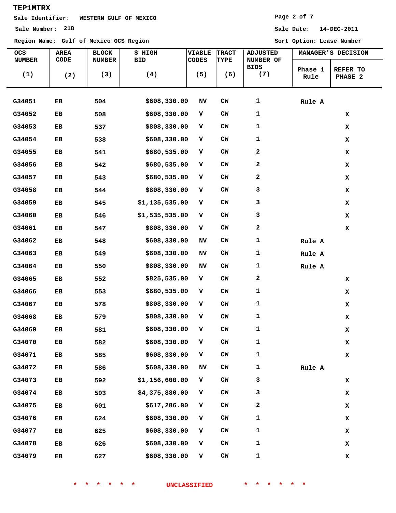## **Sale Identifier: WESTERN GULF OF MEXICO**

**Region Name: Gulf of Mexico OCS Region Sort Option: Lease Number**

### **Page 2 of 7**

**Sale Number: 218 Sale Date: 14-DEC-2011**

| OCS<br><b>NUMBER</b> | <b>AREA</b><br>CODE | <b>BLOCK</b><br><b>NUMBER</b> | \$ HIGH<br><b>BID</b> | VIABLE<br>CODES | <b>TRACT</b><br>TYPE | <b>ADJUSTED</b><br>NUMBER OF |                 | MANAGER'S DECISION  |
|----------------------|---------------------|-------------------------------|-----------------------|-----------------|----------------------|------------------------------|-----------------|---------------------|
| (1)                  | (2)                 | (3)                           | (4)                   | (5)             | (6)                  | <b>BIDS</b><br>(7)           | Phase 1<br>Rule | REFER TO<br>PHASE 2 |
| G34051               | EB                  | 504                           | \$608,330.00          | NV              | $CM$                 | 1                            | Rule A          |                     |
| G34052               | EB                  | 508                           | \$608,330.00          | v               | ${\sf CW}$           | 1                            |                 | x                   |
| G34053               | EB                  | 537                           | \$808,330.00          | v               | CW                   | 1                            |                 | $\mathbf x$         |
| G34054               | EB                  | 538                           | \$608,330.00          | v               | CW                   | 1                            |                 | x                   |
| G34055               | EB                  | 541                           | \$680,535.00          | v               | CW                   | 2                            |                 | $\mathbf x$         |
| G34056               | EB                  | 542                           | \$680,535.00          | v               | CW                   | 2                            |                 | x                   |
| G34057               | EB                  | 543                           | \$680,535.00          | v               | CW                   | 2                            |                 | x                   |
| G34058               | EB                  | 544                           | \$808,330.00          | v               | ${\sf CW}$           | з                            |                 | x                   |
| G34059               | EB                  | 545                           | \$1,135,535.00        | v               | CW                   | 3                            |                 | x                   |
| G34060               | EB                  | 546                           | \$1,535,535.00        | v               | CW                   | з                            |                 | x                   |
| G34061               | EB                  | 547                           | \$808,330.00          | v               | CW                   | 2                            |                 | x                   |
| G34062               | EB                  | 548                           | \$608,330.00          | NV              | CW                   | 1                            | Rule A          |                     |
| G34063               | EB                  | 549                           | \$608,330.00          | NV              | CW                   | $\mathbf 1$                  | Rule A          |                     |
| G34064               | EB                  | 550                           | \$808,330.00          | NV              | CW                   | 1                            | Rule A          |                     |
| G34065               | EB                  | 552                           | \$825,535.00          | v               | ${\sf CW}$           | 2                            |                 | x                   |
| G34066               | EB                  | 553                           | \$680,535.00          | v               | CW                   | 1                            |                 | x                   |
| G34067               | EB                  | 578                           | \$808,330.00          | v               | CW                   | 1                            |                 | x                   |
| G34068               | EB                  | 579                           | \$808,330.00          | v               | CW                   | 1                            |                 | x                   |
| G34069               | EB                  | 581                           | \$608,330.00          | v               | $CM$                 | 1                            |                 | x                   |
| G34070               | EB                  | 582                           | \$608,330.00          | v               | $CM$                 | 1                            |                 | $\mathbf x$         |
| G34071               | EB                  | 585                           | \$608,330.00          | V               | ${\sf CW}$           | 1                            |                 | $\mathbf x$         |
| G34072               | EB                  | 586                           | \$608,330.00          | NV              | ${\sf CW}$           | 1                            | Rule A          |                     |
| G34073               | EB                  | 592                           | \$1,156,600.00        | v               | $\mathsf{CW}$        | з                            |                 | $\mathbf x$         |
| G34074               | EB                  | 593                           | \$4,375,880.00        | v               | ${\sf CW}$           | 3                            |                 | $\mathbf x$         |
| G34075               | EB                  | 601                           | \$617,286.00          | v               | ${\sf CW}$           | 2                            |                 | x                   |
| G34076               | EB                  | 624                           | \$608,330.00          | v               | ${\sf CW}$           | 1                            |                 | x                   |
| G34077               | EB                  | 625                           | \$608,330.00          | v               | ${\sf CW}$           | 1                            |                 | x                   |
| G34078               | EB                  | 626                           | \$608,330.00          | v               | ${\sf CW}$           | 1                            |                 | $\mathbf x$         |
| G34079               | EB                  | 627                           | \$608,330.00          | V               | ${\rm\bf CW}$        | 1                            |                 | x                   |

**\* \* \* \* \* \* UNCLASSIFIED \* \* \* \* \* \***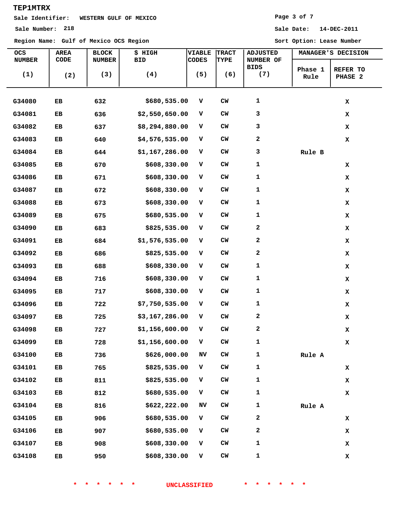# **Sale Identifier: WESTERN GULF OF MEXICO**

**Region Name: Gulf of Mexico OCS Region Sort Option: Lease Number**

#### **Page 3 of 7**

| OCS<br><b>NUMBER</b> | AREA<br>CODE | <b>BLOCK</b><br><b>NUMBER</b> | \$ HIGH<br><b>BID</b> | <b>VIABLE</b><br><b>CODES</b> | <b>TRACT</b><br>TYPE | <b>ADJUSTED</b><br>NUMBER OF |                 | MANAGER'S DECISION  |  |
|----------------------|--------------|-------------------------------|-----------------------|-------------------------------|----------------------|------------------------------|-----------------|---------------------|--|
| (1)                  | (2)          | (3)                           | (4)                   | (5)                           | (6)                  | BIDS<br>(7)                  | Phase 1<br>Rule | REFER TO<br>PHASE 2 |  |
| G34080               | EB           | 632                           | \$680,535.00          | v                             | $cm$                 | $\mathbf 1$                  |                 | $\mathbf x$         |  |
| G34081               | EB           | 636                           | \$2,550,650.00        | v                             | CW                   | 3                            |                 | $\mathbf x$         |  |
| G34082               | EB           | 637                           | \$8,294,880.00        | v                             | <b>CW</b>            | 3                            |                 | x                   |  |
| G34083               | EB           | 640                           | \$4,576,535.00        | $\mathbf v$                   | <b>CW</b>            | 2                            |                 | $\mathbf x$         |  |
| G34084               | EB           | 644                           | \$1,167,286.00        | $\mathbf v$                   | <b>CW</b>            | 3                            | Rule B          |                     |  |
| G34085               | ЕB           | 670                           | \$608,330.00          | v                             | <b>CW</b>            | $\mathbf{1}$                 |                 | x                   |  |
| G34086               | EB           | 671                           | \$608,330.00          | v                             | CW                   | $\mathbf 1$                  |                 | $\mathbf x$         |  |
| G34087               | EB           | 672                           | \$608,330.00          | v                             | <b>CW</b>            | $\mathbf{1}$                 |                 | $\mathbf x$         |  |
| G34088               | EB           | 673                           | \$608,330.00          | v                             | <b>CW</b>            | $\mathbf{1}$                 |                 | x                   |  |
| G34089               | EB           | 675                           | \$680,535.00          | v                             | <b>CW</b>            | $\mathbf{1}$                 |                 | $\mathbf x$         |  |
| G34090               | EB           | 683                           | \$825,535.00          | v                             | <b>CW</b>            | 2                            |                 | $\mathbf x$         |  |
| G34091               | EB           | 684                           | \$1,576,535.00        | v                             | <b>CW</b>            | 2                            |                 | x                   |  |
| G34092               | EB           | 686                           | \$825,535.00          | v                             | <b>CW</b>            | 2                            |                 | x                   |  |
| G34093               | EB           | 688                           | \$608,330.00          | v                             | $cm$                 | 1                            |                 | x                   |  |
| G34094               | EВ           | 716                           | \$608,330.00          | $\mathbf{V}$                  | $CM$                 | $\mathbf 1$                  |                 | x                   |  |
| G34095               | EB           | 717                           | \$608,330.00          | $\mathbf v$                   | $cm$                 | $\mathbf{1}$                 |                 | x                   |  |
| G34096               | EВ           | 722                           | \$7,750,535.00        | $\mathbf v$                   | <b>CW</b>            | 1                            |                 | x                   |  |
| G34097               | EB           | 725                           | \$3,167,286.00        | v                             | $cm$                 | 2                            |                 | $\mathbf x$         |  |
| G34098               | EB           | 727                           | \$1,156,600.00        | v                             | $CM$                 | 2                            |                 | x                   |  |
| G34099               | EB           | 728                           | \$1,156,600.00        | $\mathbf{V}$                  | ${\rm\bf CW}$        | $\mathbf 1$                  |                 | $\mathbf x$         |  |
| G34100               | EB           | 736                           | \$626,000.00          | $\ensuremath{\text{NV}}$      | ${\rm\bf CW}$        | $\mathbf 1$                  | Rule A          |                     |  |
| G34101               | EB           | 765                           | \$825,535.00          | v                             | ${\rm\bf CW}$        | 1                            |                 | x                   |  |
| G34102               | EB           | 811                           | \$825,535.00          | $\mathbf{V}$                  | ${\rm\bf CW}$        | $\mathbf{1}$                 |                 | $\mathbf x$         |  |
| G34103               | EB           | 812                           | \$680,535.00          | $\mathbf{V}$                  | ${\rm\bf CW}$        | $\mathbf{1}$                 |                 | $\mathbf x$         |  |
| G34104               | EB           | 816                           | \$622,222.00          | NV                            | CW                   | 1                            | Rule A          |                     |  |
| G34105               | EB           | 906                           | \$680,535.00          | v                             | ${\sf CW}$           | 2                            |                 | x                   |  |
| G34106               | EB           | 907                           | \$680,535.00          | $\mathbf{V}$                  | ${\rm\bf CW}$        | 2                            |                 | x                   |  |
| G34107               | EB           | 908                           | \$608,330.00          | v                             | ${\rm\bf CW}$        | 1                            |                 | $\mathbf x$         |  |
| G34108               | EB           | 950                           | \$608,330.00          | v                             | ${\rm\bf CW}$        | $\mathbf 1$                  |                 | $\mathbf x$         |  |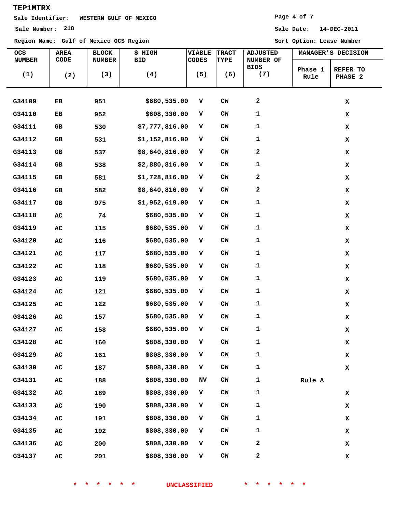## **Sale Identifier: WESTERN GULF OF MEXICO**

**Region Name: Gulf of Mexico OCS Region Sort Option: Lease Number**

### **Page 4 of 7**

**Sale Number: 218 Sale Date: 14-DEC-2011**

| <b>OCS</b><br><b>NUMBER</b> | AREA<br>CODE | <b>BLOCK</b><br><b>NUMBER</b> | \$ HIGH<br><b>BID</b> | VIABLE<br><b>CODES</b> | <b>TRACT</b><br><b>TYPE</b> | <b>ADJUSTED</b><br>NUMBER OF | MANAGER'S DECISION                     |
|-----------------------------|--------------|-------------------------------|-----------------------|------------------------|-----------------------------|------------------------------|----------------------------------------|
| (1)                         | (2)          | (3)                           | (4)                   | (5)                    | (6)                         | BIDS<br>(7)                  | Phase 1<br>REFER TO<br>Rule<br>PHASE 2 |
| G34109                      | EB           | 951                           | \$680,535.00          | v                      | CW                          | 2                            | $\mathbf x$                            |
| G34110                      | EB           | 952                           | \$608,330.00          | v                      | <b>CW</b>                   | $\mathbf 1$                  | $\mathbf x$                            |
| G34111                      | GВ           | 530                           | \$7,777,816.00        | v                      | <b>CW</b>                   | 1                            | $\mathbf x$                            |
| G34112                      | GВ           | 531                           | \$1,152,816.00        | v                      | <b>CM</b>                   | 1                            | $\mathbf x$                            |
| G34113                      | GВ           | 537                           | \$8,640,816.00        | V                      | <b>CW</b>                   | 2                            | $\mathbf x$                            |
| G34114                      | GВ           | 538                           | \$2,880,816.00        | v                      | <b>CM</b>                   | $\mathbf 1$                  | $\mathbf x$                            |
| G34115                      | GВ           | 581                           | \$1,728,816.00        | v                      | $CM$                        | 2                            | $\mathbf x$                            |
| G34116                      | GВ           | 582                           | \$8,640,816.00        | v                      | <b>CW</b>                   | 2                            | $\mathbf x$                            |
| G34117                      | GВ           | 975                           | \$1,952,619.00        | $\mathbf{V}$           | <b>CM</b>                   | $\mathbf 1$                  | $\mathbf x$                            |
| G34118                      | AC           | 74                            | \$680,535.00          | v                      | <b>CW</b>                   | $\mathbf 1$                  | $\mathbf x$                            |
| G34119                      | AC           | 115                           | \$680,535.00          | v                      | <b>CW</b>                   | 1                            | $\mathbf x$                            |
| G34120                      | ${\tt AC}$   | 116                           | \$680,535.00          | v                      | CM                          | 1                            | $\mathbf x$                            |
| G34121                      | AC           | 117                           | \$680,535.00          | v                      | <b>CW</b>                   | $\mathbf 1$                  | $\mathbf x$                            |
| G34122                      | AC           | 118                           | \$680,535.00          | v                      | $CM$                        | 1                            | $\mathbf x$                            |
| G34123                      | AC           | 119                           | \$680,535.00          | v                      | $CM$                        | 1                            | $\mathbf x$                            |
| G34124                      | AC           | 121                           | \$680,535.00          | v                      | $CM$                        | 1                            | $\mathbf x$                            |
| G34125                      | AC           | 122                           | \$680,535.00          | v                      | <b>CM</b>                   | $\mathbf 1$                  | $\mathbf x$                            |
| G34126                      | AC           | 157                           | \$680,535.00          | v                      | $CM$                        | 1                            | $\mathbf x$                            |
| G34127                      | AC           | 158                           | \$680,535.00          | v                      | $CM$                        | 1                            | $\mathbf x$                            |
| G34128                      | ${\bf AC}$   | 160                           | \$808,330.00          | $\mathbf{V}$           | $CM$                        | $\mathbf 1$                  | $\mathbf x$                            |
| G34129                      | ${\bf AC}$   | 161                           | \$808,330.00          | $\mathbf{V}$           | $CM$                        | $\mathbf 1$                  | $\mathbf x$                            |
| G34130                      | ${\tt AC}$   | 187                           | \$808,330.00          | v                      | $CM$                        | $\mathbf 1$                  | $\mathbf x$                            |
| G34131                      | ${\tt AC}$   | 188                           | \$808,330.00          | NV                     | CM                          | $\mathbf 1$                  | Rule A                                 |
| G34132                      | ${\bf AC}$   | 189                           | \$808,330.00          | $\mathbf{V}$           | $CM$                        | $\mathbf 1$                  | $\mathbf x$                            |
| G34133                      | ${\bf AC}$   | 190                           | \$808,330.00          | v                      | CM                          | $\mathbf 1$                  | $\mathbf x$                            |
| G34134                      | ${\bf AC}$   | 191                           | \$808,330.00          | v                      | $CM$                        | $\mathbf 1$                  | $\mathbf x$                            |
| G34135                      | ${\bf AC}$   | 192                           | \$808,330.00          | $\mathbf{V}$           | CM                          | $\mathbf 1$                  | $\mathbf x$                            |
| G34136                      | ${\bf AC}$   | 200                           | \$808,330.00          | $\mathbf{V}$           | $CM$                        | 2                            | $\mathbf x$                            |
| G34137                      | ${\bf AC}$   | 201                           | \$808,330.00          | $\mathbf{V}$           | ${\rm\bf CW}$               | 2                            | $\mathbf x$                            |

**\* \* \* \* \* \* UNCLASSIFIED \* \* \* \* \* \***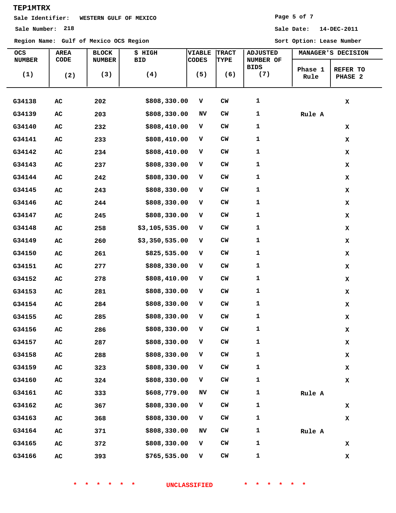## **Sale Identifier: WESTERN GULF OF MEXICO**

**Region Name: Gulf of Mexico OCS Region Sort Option: Lease Number**

### **Page 5 of 7**

| OCS<br><b>NUMBER</b> | AREA<br>CODE | <b>BLOCK</b><br><b>NUMBER</b> | \$ HIGH<br><b>BID</b> | <b>VIABLE</b><br><b>CODES</b> | <b>TRACT</b><br>TYPE | <b>ADJUSTED</b><br>NUMBER OF |                 | MANAGER'S DECISION  |
|----------------------|--------------|-------------------------------|-----------------------|-------------------------------|----------------------|------------------------------|-----------------|---------------------|
| (1)                  | (2)          | (3)                           | (4)                   | (5)                           | (6)                  | BIDS<br>(7)                  | Phase 1<br>Rule | REFER TO<br>PHASE 2 |
| G34138               | ${\tt AC}$   | 202                           | \$808,330.00          | $\mathbf{V}$                  | $cm$                 | 1                            |                 | $\mathbf x$         |
| G34139               | AC           | 203                           | \$808,330.00          | NV                            | CW                   | 1                            | Rule A          |                     |
| G34140               | ${\tt AC}$   | 232                           | \$808,410.00          | v                             | <b>CW</b>            | 1                            |                 | x                   |
| G34141               | ${\tt AC}$   | 233                           | \$808,410.00          | $\mathbf{V}$                  | $cm$                 | 1                            |                 | x                   |
| G34142               | ${\tt AC}$   | 234                           | \$808,410.00          | v                             | <b>CW</b>            | 1                            |                 | x                   |
| G34143               | AC           | 237                           | \$808,330.00          | v                             | <b>CW</b>            | 1                            |                 | x                   |
| G34144               | ${\tt AC}$   | 242                           | \$808,330.00          | $\mathbf{V}$                  | CW                   | 1                            |                 | x                   |
| G34145               | ${\tt AC}$   | 243                           | \$808,330.00          | $\mathbf{V}$                  | <b>CW</b>            | 1                            |                 | x                   |
| G34146               | AC           | 244                           | \$808,330.00          | $\mathbf{V}$                  | <b>CW</b>            | 1                            |                 | x                   |
| G34147               | AC           | 245                           | \$808,330.00          | V                             | $cm$                 | 1                            |                 | x                   |
| G34148               | ${\tt AC}$   | 258                           | \$3,105,535.00        | v                             | <b>CW</b>            | 1                            |                 | x                   |
| G34149               | ${\tt AC}$   | 260                           | \$3,350,535.00        | $\mathbf{V}$                  | <b>CW</b>            | 1                            |                 | x                   |
| G34150               | ${\tt AC}$   | 261                           | \$825,535.00          | v                             | <b>CW</b>            | 1                            |                 | x                   |
| G34151               | AC           | 277                           | \$808,330.00          | v                             | <b>CW</b>            | 1                            |                 | x                   |
| G34152               | ${\tt AC}$   | 278                           | \$808,410.00          | $\mathbf{V}$                  | CW                   | 1                            |                 | x                   |
| G34153               | AC           | 281                           | \$808,330.00          | v                             | <b>CW</b>            | 1                            |                 | $\mathbf x$         |
| G34154               | AC           | 284                           | \$808,330.00          | v                             | <b>CW</b>            | 1                            |                 | x                   |
| G34155               | AC           | 285                           | \$808,330.00          | v                             | <b>CW</b>            | 1                            |                 | x                   |
| G34156               | ${\tt AC}$   | 286                           | \$808,330.00          | v                             | <b>CW</b>            | 1                            |                 | x                   |
| G34157               | ${\bf AC}$   | 287                           | \$808,330.00          | V                             | $cm$                 | 1                            |                 | $\mathbf x$         |
| G34158               | ${\tt AC}$   | 288                           | \$808,330.00          | V                             | CW                   | 1                            |                 | $\mathbf x$         |
| G34159               | ${\tt AC}$   | 323                           | \$808,330.00          | v                             | ${\rm\bf CW}$        | 1                            |                 | x                   |
| G34160               | ${\bf AC}$   | 324                           | \$808,330.00          | v                             | ${\sf CW}$           | 1                            |                 | $\mathbf x$         |
| G34161               | ${\tt AC}$   | 333                           | \$608,779.00          | NV                            | CW                   | 1                            | Rule A          |                     |
| G34162               | ${\tt AC}$   | 367                           | \$808,330.00          | v                             | CW                   | 1                            |                 | x                   |
| G34163               | ${\tt AC}$   | 368                           | \$808,330.00          | $\mathbf V$                   | CW                   | 1                            |                 | x                   |
| G34164               | ${\tt AC}$   | 371                           | \$808,330.00          | NV                            | CW                   | 1                            | Rule A          |                     |
| G34165               | ${\tt AC}$   | 372                           | \$808,330.00          | v                             | CW                   | 1                            |                 | $\mathbf x$         |
| G34166               | ${\tt AC}$   | 393                           | \$765,535.00          | V                             | ${\rm\bf CW}$        | 1                            |                 | X                   |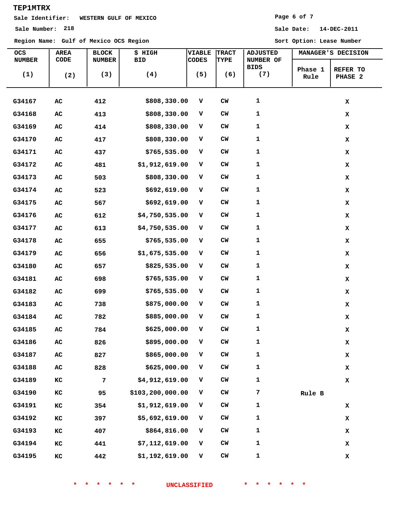## **Sale Identifier: WESTERN GULF OF MEXICO**

**Region Name: Gulf of Mexico OCS Region Sort Option: Lease Number**

### **Page 6 of 7**

**Sale Number: 218 Sale Date: 14-DEC-2011**

| <b>OCS</b>    | <b>AREA</b> | <b>BLOCK</b>   | \$ HIGH          | VIABLE       | <b>TRACT</b>  | <b>ADJUSTED</b> |                 |                     |
|---------------|-------------|----------------|------------------|--------------|---------------|-----------------|-----------------|---------------------|
| <b>NUMBER</b> | CODE        | <b>NUMBER</b>  | <b>BID</b>       | <b>CODES</b> | <b>TYPE</b>   | NUMBER OF       |                 | MANAGER'S DECISION  |
| (1)           | (2)         | (3)            | (4)              | (5)          | (6)           | BIDS<br>(7)     | Phase 1<br>Rule | REFER TO<br>PHASE 2 |
|               |             |                |                  |              |               |                 |                 |                     |
| G34167        | AC          | 412            | \$808,330.00     | v            | $CM$          | $\mathbf 1$     |                 | $\mathbf x$         |
| G34168        | ${\tt AC}$  | 413            | \$808,330.00     | v            | <b>CW</b>     | 1               |                 | $\mathbf x$         |
| G34169        | AC          | 414            | \$808,330.00     | v            | $cm$          | $\mathbf 1$     |                 | $\mathbf x$         |
| G34170        | ${\tt AC}$  | 417            | \$808,330.00     | $\mathbf{V}$ | $CM$          | $\mathbf 1$     |                 | $\mathbf x$         |
| G34171        | AC          | 437            | \$765,535.00     | v            | $CM$          | 1               |                 | $\mathbf x$         |
| G34172        | AC          | 481            | \$1,912,619.00   | v            | $CM$          | $\mathbf 1$     |                 | $\mathbf x$         |
| G34173        | ${\tt AC}$  | 503            | \$808,330.00     | v            | $CM$          | $\mathbf 1$     |                 | $\mathbf x$         |
| G34174        | AC          | 523            | \$692,619.00     | v            | $CM$          | $\mathbf 1$     |                 | $\mathbf x$         |
| G34175        | AC          | 567            | \$692,619.00     | v            | $CM$          | $\mathbf 1$     |                 | X                   |
| G34176        | AC          | 612            | \$4,750,535.00   | v            | CW            | $\mathbf 1$     |                 | $\mathbf x$         |
| G34177        | AC          | 613            | \$4,750,535.00   | v            | CW            | 1               |                 | X                   |
| G34178        | ${\tt AC}$  | 655            | \$765,535.00     | $\mathbf{V}$ | $CM$          | $\mathbf 1$     |                 | $\mathbf x$         |
| G34179        | ${\tt AC}$  | 656            | \$1,675,535.00   | v            | $CM$          | 1               |                 | $\mathbf x$         |
| G34180        | AC          | 657            | \$825,535.00     | v            | <b>CW</b>     | 1               |                 | $\mathbf x$         |
| G34181        | AC          | 698            | \$765,535.00     | $\mathbf{V}$ | $cm$          | 1               |                 | $\mathbf x$         |
| G34182        | AC          | 699            | \$765,535.00     | v            | <b>CW</b>     | 1               |                 | $\mathbf x$         |
| G34183        | AC          | 738            | \$875,000.00     | v            | <b>CW</b>     | $\mathbf{1}$    |                 | X                   |
| G34184        | AC          | 782            | \$885,000.00     | v            | CW            | $\mathbf 1$     |                 | $\mathbf x$         |
| G34185        | AC          | 784            | \$625,000.00     | v            | $CM$          | 1               |                 | $\mathbf x$         |
| G34186        | AC          | 826            | \$895,000.00     | v            | $CM$          | $\mathbf 1$     |                 | $\mathbf x$         |
| G34187        | ${\tt AC}$  | 827            | \$865,000.00     | $\mathbf{V}$ | CW            | $\mathbf 1$     |                 | $\mathbf x$         |
| G34188        | AC          | 828            | \$625,000.00     | v            | CW            | $\mathbf 1$     |                 | $\mathbf x$         |
| G34189        | КC          | $\overline{7}$ | \$4,912,619.00   | v            | <b>CW</b>     | $\mathbf 1$     |                 | $\mathbf x$         |
| G34190        | ${\tt KC}$  | 95             | \$103,200,000.00 | v            | CM            | 7               | Rule B          |                     |
| G34191        | KC          | 354            | \$1,912,619.00   | v            | CM            | $\mathbf 1$     |                 | $\mathbf x$         |
| G34192        | КC          | 397            | \$5,692,619.00   | v            | CW            | $\mathbf 1$     |                 | $\mathbf x$         |
| G34193        | КC          | 407            | \$864,816.00     | $\mathbf{v}$ | $CM$          | $\mathbf 1$     |                 | $\mathbf x$         |
| G34194        | КC          | 441            | \$7,112,619.00   | v            | $CM$          | 1               |                 | $\mathbf x$         |
| G34195        | ${\tt KC}$  | 442            | \$1,192,619.00   | $\mathbf{v}$ | ${\rm\bf CW}$ | $\mathbf 1$     |                 | $\mathbf x$         |

**\* \* \* \* \* \* UNCLASSIFIED \* \* \* \* \* \***